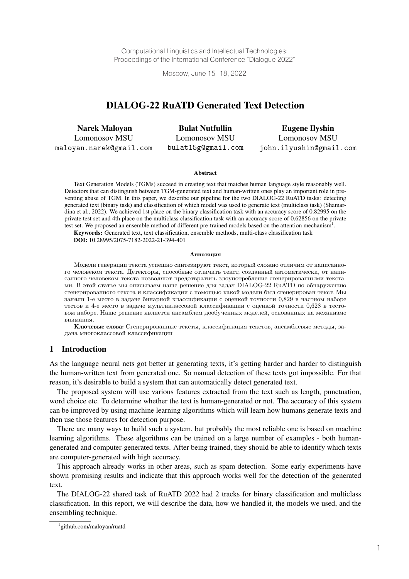Computational Linguistics and Intellectual Technologies: Proceedings of the International Conference "Dialogue 2022"

Moscow, June 15–18, 2022

# DIALOG-22 RuATD Generated Text Detection

| <b>Narek Maloyan</b>    | <b>Bulat Nutfullin</b> | Eugene Ilyshin          |
|-------------------------|------------------------|-------------------------|
| Lomonosov MSU           | Lomonosov MSU          | Lomonosov MSU           |
| maloyan.narek@gmail.com | bulat15g@gmail.com     | john.ilyushin@gmail.com |

#### Abstract

Text Generation Models (TGMs) succeed in creating text that matches human language style reasonably well. Detectors that can distinguish between TGM-generated text and human-written ones play an important role in preventing abuse of TGM. In this paper, we describe our pipeline for the two DIALOG-22 RuATD tasks: detecting generated text (binary task) and classification of which model was used to generate text (multiclass task) (Shamardina et al., 2022). We achieved 1st place on the binary classification task with an accuracy score of 0.82995 on the private test set and 4th place on the multiclass classification task with an accuracy score of 0.62856 on the private test set. We proposed an ensemble method of different pre-trained models based on the attention mechanism<sup>1</sup>.

Keywords: Generated text, text classification, ensemble methods, multi-class classification task DOI: 10.28995/2075-7182-2022-21-394-401

#### Аннотация

Модели генерации текста успешно синтезируют текст, который сложно отличим от написанного человеком текста. Детекторы, способные отличить текст, созданный автоматически, от написанного человеком текста позволяют предотвратить злоупотребление сгенерированными текстами. В этой статье мы описываем наше решение для задач DIALOG-22 RuATD по обнаружению сгенерированного текста и классификации с помощью какой модели был сгенерирован текст. Мы заняли 1-е место в задаче бинарной классификации с оценкой точности 0,829 в частном наборе тестов и 4-е место в задаче мультиклассовой классификации с оценкой точности 0,628 в тестовом наборе. Наше решение является ансамблем дообученных моделей, основанных на механизме внимания.

Ключевые слова: Сгенерированные тексты, классификация текстов, ансамблевые методы, задача многоклассовой классификации

#### 1 Introduction

As the language neural nets got better at generating texts, it's getting harder and harder to distinguish the human-written text from generated one. So manual detection of these texts got impossible. For that reason, it's desirable to build a system that can automatically detect generated text.

The proposed system will use various features extracted from the text such as length, punctuation, word choice etc. To determine whether the text is human-generated or not. The accuracy of this system can be improved by using machine learning algorithms which will learn how humans generate texts and then use those features for detection purpose.

There are many ways to build such a system, but probably the most reliable one is based on machine learning algorithms. These algorithms can be trained on a large number of examples - both humangenerated and computer-generated texts. After being trained, they should be able to identify which texts are computer-generated with high accuracy.

This approach already works in other areas, such as spam detection. Some early experiments have shown promising results and indicate that this approach works well for the detection of the generated text.

The DIALOG-22 shared task of RuATD 2022 had 2 tracks for binary classification and multiclass classification. In this report, we will describe the data, how we handled it, the models we used, and the ensembling technique.

<sup>1</sup> github.com/maloyan/ruatd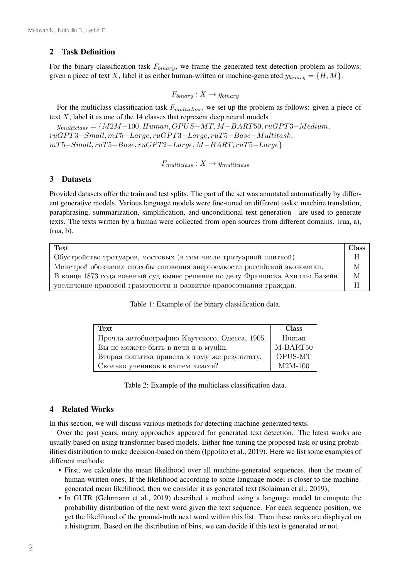# 2 Task Definition

For the binary classification task  $F_{binary}$ , we frame the generated text detection problem as follows: given a piece of text X, label it as either human-written or machine-generated  $y_{binary} = \{H, M\}.$ 

$$
F_{binary}: X \to y_{binary}
$$

For the multiclass classification task  $F_{multiclass}$ , we set up the problem as follows: given a piece of text  $X$ , label it as one of the 14 classes that represent deep neural models

 $y_{multiclass} = \{M2M-100, Human, OPUS-MT, M-BART50, ruGPT3-Medium,$  $ruGPT3-Small, mT5-Large, ruGPT3-Large, ruT5-Base-Multitask,$  $mT5-Small, ruT5-Base, ruGPT2-Large, M-BART, ruT5-Large\}$ 

 $F_{multiclass}: X \rightarrow y_{multiclass}$ 

## 3 Datasets

Provided datasets offer the train and test splits. The part of the set was annotated automatically by different generative models. Various language models were fine-tuned on different tasks: machine translation, paraphrasing, summarization, simplification, and unconditional text generation - are used to generate texts. The texts written by a human were collected from open sources from different domains. (rua, a), (rua, b).

| Text                                                                         | <b>Class</b> |
|------------------------------------------------------------------------------|--------------|
| Обустройство тротуаров, мостовых (в том числе тротуарной плиткой).           | H            |
| Минстрой обозначил способы снижения энергоемкости российской экономики.      |              |
| В конце 1873 года военный суд вынес решение по делу Франциска Ахиллы Базейн. |              |
| увеличение правовой грамотности и развитие правосознания граждан.            |              |

#### Table 1: Example of the binary classification data.

| Text                                          | <b>Class</b> |
|-----------------------------------------------|--------------|
| Прочла автобиографию Каутского, Одесса, 1905. | Human        |
| Вы не можете быть в печи и в муши.            | M-BART50     |
| Вторая попытка привела к тому же результату.  | OPUS-MT      |
| Сколько учеников в вашем классе?              | $M2M-100$    |

Table 2: Example of the multiclass classification data.

## 4 Related Works

In this section, we will discuss various methods for detecting machine-generated texts.

Over the past years, many approaches appeared for generated text detection. The latest works are usually based on using transformer-based models. Either fine-tuning the proposed task or using probabilities distribution to make decision-based on them (Ippolito et al., 2019). Here we list some examples of different methods:

- First, we calculate the mean likelihood over all machine-generated sequences, then the mean of human-written ones. If the likelihood according to some language model is closer to the machinegenerated mean likelihood, then we consider it as generated text (Solaiman et al., 2019);
- In GLTR (Gehrmann et al., 2019) described a method using a language model to compute the probability distribution of the next word given the text sequence. For each sequence position, we get the likelihood of the ground-truth next word within this list. Then these ranks are displayed on a histogram. Based on the distribution of bins, we can decide if this text is generated or not.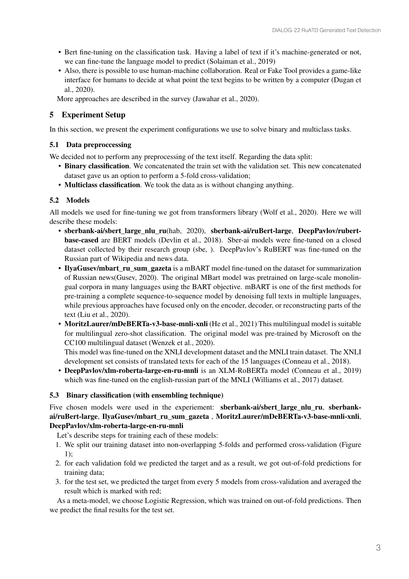- Bert fine-tuning on the classification task. Having a label of text if it's machine-generated or not, we can fine-tune the language model to predict (Solaiman et al., 2019)
- Also, there is possible to use human-machine collaboration. Real or Fake Tool provides a game-like interface for humans to decide at what point the text begins to be written by a computer (Dugan et al., 2020).

More approaches are described in the survey (Jawahar et al., 2020).

# 5 Experiment Setup

In this section, we present the experiment configurations we use to solve binary and multiclass tasks.

## 5.1 Data preproccessing

We decided not to perform any preprocessing of the text itself. Regarding the data split:

- Binary classification. We concatenated the train set with the validation set. This new concatenated dataset gave us an option to perform a 5-fold cross-validation;
- Multiclass classification. We took the data as is without changing anything.

## 5.2 Models

All models we used for fine-tuning we got from transformers library (Wolf et al., 2020). Here we will describe these models:

- sberbank-ai/sbert large nlu ru(hab, 2020), sberbank-ai/ruBert-large, DeepPavlov/rubertbase-cased are BERT models (Devlin et al., 2018). Sber-ai models were fine-tuned on a closed dataset collected by their research group (sbe, ). DeepPavlov's RuBERT was fine-tuned on the Russian part of Wikipedia and news data.
- IlyaGusev/mbart ru sum gazeta is a mBART model fine-tuned on the dataset for summarization of Russian news(Gusev, 2020). The original MBart model was pretrained on large-scale monolingual corpora in many languages using the BART objective. mBART is one of the first methods for pre-training a complete sequence-to-sequence model by denoising full texts in multiple languages, while previous approaches have focused only on the encoder, decoder, or reconstructing parts of the text (Liu et al., 2020).
- MoritzLaurer/mDeBERTa-v3-base-mnli-xnli (He et al., 2021) This multilingual model is suitable for multilingual zero-shot classification. The original model was pre-trained by Microsoft on the CC100 multilingual dataset (Wenzek et al., 2020).

This model was fine-tuned on the XNLI development dataset and the MNLI train dataset. The XNLI development set consists of translated texts for each of the 15 languages (Conneau et al., 2018).

• DeepPavlov/xlm-roberta-large-en-ru-mnli is an XLM-RoBERTa model (Conneau et al., 2019) which was fine-tuned on the english-russian part of the MNLI (Williams et al., 2017) dataset.

## 5.3 Binary classification (with ensembling technique)

#### Five chosen models were used in the experiement: sberbank-ai/sbert\_large\_nlu\_ru, sberbankai/ruBert-large, IlyaGusev/mbart\_ru\_sum\_gazeta , MoritzLaurer/mDeBERTa-v3-base-mnli-xnli, DeepPavlov/xlm-roberta-large-en-ru-mnli

Let's describe steps for training each of these models:

- 1. We split our training dataset into non-overlapping 5-folds and performed cross-validation (Figure 1);
- 2. for each validation fold we predicted the target and as a result, we got out-of-fold predictions for training data;
- 3. for the test set, we predicted the target from every 5 models from cross-validation and averaged the result which is marked with red;

As a meta-model, we choose Logistic Regression, which was trained on out-of-fold predictions. Then we predict the final results for the test set.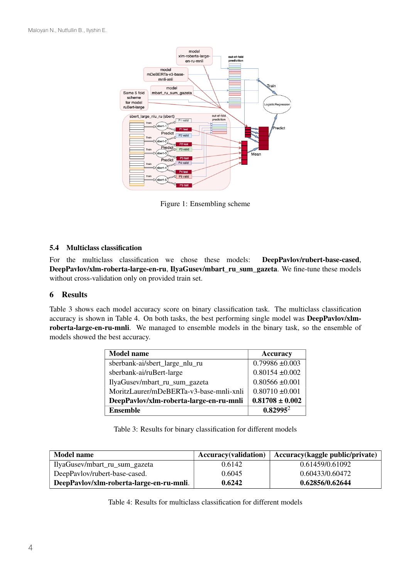

Figure 1: Ensembling scheme

#### 5.4 Multiclass classification

For the multiclass classification we chose these models: DeepPavlov/rubert-base-cased, DeepPavlov/xlm-roberta-large-en-ru, IlyaGusev/mbart\_ru\_sum\_gazeta. We fine-tune these models without cross-validation only on provided train set.

## 6 Results

Table 3 shows each model accuracy score on binary classification task. The multiclass classification accuracy is shown in Table 4. On both tasks, the best performing single model was DeepPavlov/xlmroberta-large-en-ru-mnli. We managed to ensemble models in the binary task, so the ensemble of models showed the best accuracy.

| <b>Model name</b>                       | <b>Accuracy</b>     |
|-----------------------------------------|---------------------|
| sberbank-ai/sbert_large_nlu_ru          | $0.79986 \pm 0.003$ |
| sberbank-ai/ruBert-large                | $0.80154 \pm 0.002$ |
| IlyaGusev/mbart_ru_sum_gazeta           | $0.80566 \pm 0.001$ |
| MoritzLaurer/mDeBERTa-v3-base-mnli-xnli | $0.80710 \pm 0.001$ |
| DeepPavlov/xlm-roberta-large-en-ru-mnli | $0.81708 \pm 0.002$ |
| <b>Ensemble</b>                         | $0.82995^2$         |

Table 3: Results for binary classification for different models

| <b>Model name</b>                        | <b>Accuracy</b> (validation) | Accuracy(kaggle public/private) |
|------------------------------------------|------------------------------|---------------------------------|
| IlyaGusev/mbart_ru_sum_gazeta            | 0.6142                       | 0.61459/0.61092                 |
| DeepPavlov/rubert-base-cased.            | 0.6045                       | 0.60433/0.60472                 |
| DeepPavlov/xlm-roberta-large-en-ru-mnli. | 0.6242                       | 0.62856/0.62644                 |

Table 4: Results for multiclass classification for different models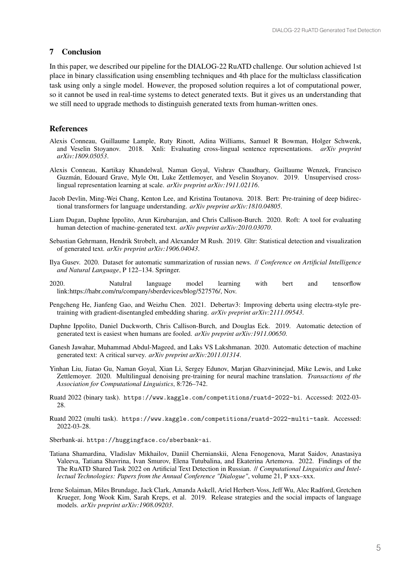#### 7 Conclusion

In this paper, we described our pipeline for the DIALOG-22 RuATD challenge. Our solution achieved 1st place in binary classification using ensembling techniques and 4th place for the multiclass classification task using only a single model. However, the proposed solution requires a lot of computational power, so it cannot be used in real-time systems to detect generated texts. But it gives us an understanding that we still need to upgrade methods to distinguish generated texts from human-written ones.

#### References

- Alexis Conneau, Guillaume Lample, Ruty Rinott, Adina Williams, Samuel R Bowman, Holger Schwenk, and Veselin Stoyanov. 2018. Xnli: Evaluating cross-lingual sentence representations. *arXiv preprint arXiv:1809.05053*.
- Alexis Conneau, Kartikay Khandelwal, Naman Goyal, Vishrav Chaudhary, Guillaume Wenzek, Francisco Guzmán, Edouard Grave, Myle Ott, Luke Zettlemoyer, and Veselin Stoyanov. 2019. Unsupervised crosslingual representation learning at scale. *arXiv preprint arXiv:1911.02116*.
- Jacob Devlin, Ming-Wei Chang, Kenton Lee, and Kristina Toutanova. 2018. Bert: Pre-training of deep bidirectional transformers for language understanding. *arXiv preprint arXiv:1810.04805*.
- Liam Dugan, Daphne Ippolito, Arun Kirubarajan, and Chris Callison-Burch. 2020. Roft: A tool for evaluating human detection of machine-generated text. *arXiv preprint arXiv:2010.03070*.
- Sebastian Gehrmann, Hendrik Strobelt, and Alexander M Rush. 2019. Gltr: Statistical detection and visualization of generated text. *arXiv preprint arXiv:1906.04043*.
- Ilya Gusev. 2020. Dataset for automatic summarization of russian news. // *Conference on Artificial Intelligence and Natural Language*, P 122–134. Springer.
- 2020. Natulral language model learning with bert and tensorflow link:https://habr.com/ru/company/sberdevices/blog/527576/, Nov.
- Pengcheng He, Jianfeng Gao, and Weizhu Chen. 2021. Debertav3: Improving deberta using electra-style pretraining with gradient-disentangled embedding sharing. *arXiv preprint arXiv:2111.09543*.
- Daphne Ippolito, Daniel Duckworth, Chris Callison-Burch, and Douglas Eck. 2019. Automatic detection of generated text is easiest when humans are fooled. *arXiv preprint arXiv:1911.00650*.
- Ganesh Jawahar, Muhammad Abdul-Mageed, and Laks VS Lakshmanan. 2020. Automatic detection of machine generated text: A critical survey. *arXiv preprint arXiv:2011.01314*.
- Yinhan Liu, Jiatao Gu, Naman Goyal, Xian Li, Sergey Edunov, Marjan Ghazvininejad, Mike Lewis, and Luke Zettlemoyer. 2020. Multilingual denoising pre-training for neural machine translation. *Transactions of the Association for Computational Linguistics*, 8:726–742.
- Ruatd 2022 (binary task). https://www.kaggle.com/competitions/ruatd-2022-bi. Accessed: 2022-03- 28.
- Ruatd 2022 (multi task). https://www.kaggle.com/competitions/ruatd-2022-multi-task. Accessed: 2022-03-28.
- Sberbank-ai. https://huggingface.co/sberbank-ai.
- Tatiana Shamardina, Vladislav Mikhailov, Daniil Chernianskii, Alena Fenogenova, Marat Saidov, Anastasiya Valeeva, Tatiana Shavrina, Ivan Smurov, Elena Tutubalina, and Ekaterina Artemova. 2022. Findings of the The RuATD Shared Task 2022 on Artificial Text Detection in Russian. // *Computational Linguistics and Intellectual Technologies: Papers from the Annual Conference "Dialogue"*, volume 21, P xxx–xxx.
- Irene Solaiman, Miles Brundage, Jack Clark, Amanda Askell, Ariel Herbert-Voss, Jeff Wu, Alec Radford, Gretchen Krueger, Jong Wook Kim, Sarah Kreps, et al. 2019. Release strategies and the social impacts of language models. *arXiv preprint arXiv:1908.09203*.